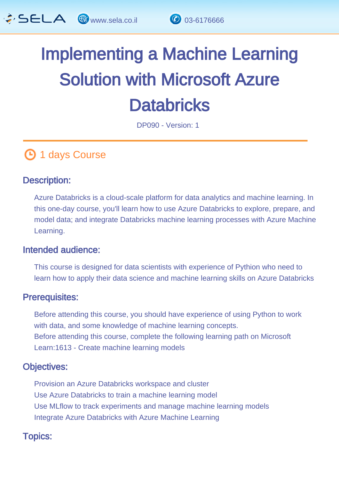

# Implementing a Machine Learning Solution with Microsoft Azure **Databricks**

DP090 - Version: 1

## **1** days Course

#### Description: Ĩ

Azure Databricks is a cloud-scale platform for data analytics and machine learning. In this one-day course, you'll learn how to use Azure Databricks to explore, prepare, and model data; and integrate Databricks machine learning processes with Azure Machine Learning.

#### Intended audience: ľ

This course is designed for data scientists with experience of Pythion who need to learn how to apply their data science and machine learning skills on Azure Databricks

#### Prerequisites: L,

Before attending this course, you should have experience of using Python to work with data, and some knowledge of machine learning concepts. Before attending this course, complete the following learning path on Microsoft Learn:1613 - Create machine learning models

#### Objectives: Ĭ

Provision an Azure Databricks workspace and cluster Use Azure Databricks to train a machine learning model Use MLflow to track experiments and manage machine learning models Integrate Azure Databricks with Azure Machine Learning

#### Topics: